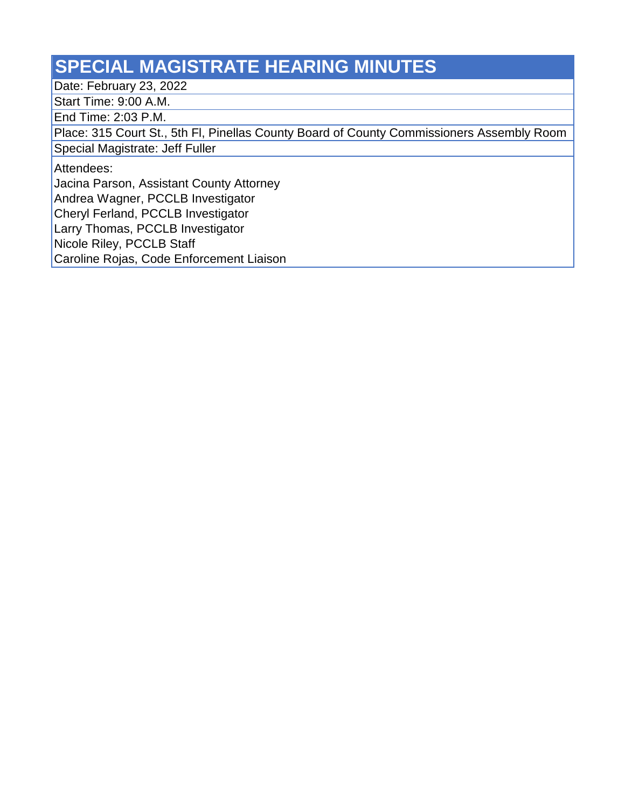## **SPECIAL MAGISTRATE HEARING MINUTES**

Date: February 23, 2022

Start Time: 9:00 A.M.

End Time: 2:03 P.M.

Place: 315 Court St., 5th Fl, Pinellas County Board of County Commissioners Assembly Room

Special Magistrate: Jeff Fuller

Attendees:

Jacina Parson, Assistant County Attorney

Andrea Wagner, PCCLB Investigator

Cheryl Ferland, PCCLB Investigator

Larry Thomas, PCCLB Investigator

Nicole Riley, PCCLB Staff

Caroline Rojas, Code Enforcement Liaison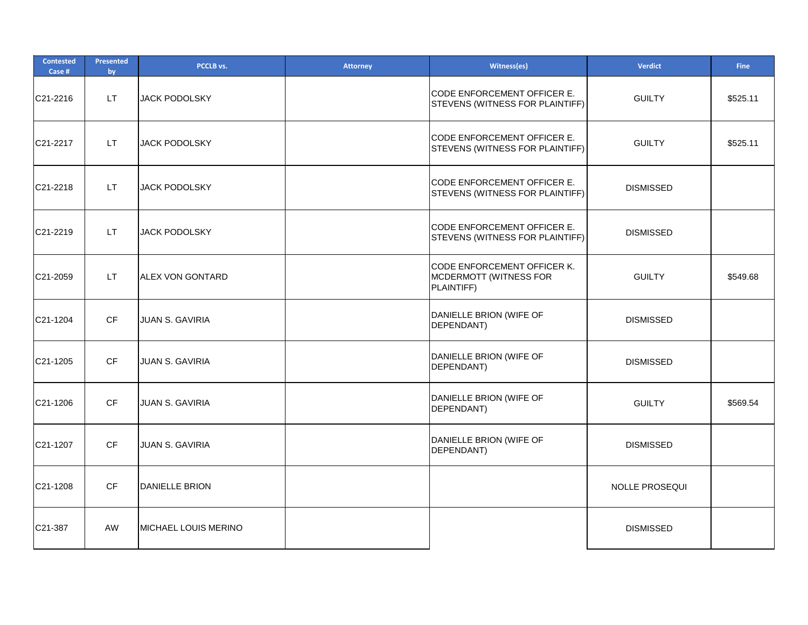| <b>Contested</b><br>Case # | <b>Presented</b><br>by | PCCLB vs.                   | <b>Attorney</b> | Witness(es)                                                         | <b>Verdict</b>        | <b>Fine</b> |
|----------------------------|------------------------|-----------------------------|-----------------|---------------------------------------------------------------------|-----------------------|-------------|
| C21-2216                   | LT.                    | <b>JACK PODOLSKY</b>        |                 | CODE ENFORCEMENT OFFICER E.<br>STEVENS (WITNESS FOR PLAINTIFF)      | <b>GUILTY</b>         | \$525.11    |
| C21-2217                   | LT.                    | <b>JACK PODOLSKY</b>        |                 | CODE ENFORCEMENT OFFICER E.<br>STEVENS (WITNESS FOR PLAINTIFF)      | <b>GUILTY</b>         | \$525.11    |
| C21-2218                   | LT.                    | <b>JACK PODOLSKY</b>        |                 | CODE ENFORCEMENT OFFICER E.<br>STEVENS (WITNESS FOR PLAINTIFF)      | <b>DISMISSED</b>      |             |
| C21-2219                   | LT.                    | JACK PODOLSKY               |                 | CODE ENFORCEMENT OFFICER E.<br>STEVENS (WITNESS FOR PLAINTIFF)      | <b>DISMISSED</b>      |             |
| C21-2059                   | LT.                    | ALEX VON GONTARD            |                 | CODE ENFORCEMENT OFFICER K.<br>MCDERMOTT (WITNESS FOR<br>PLAINTIFF) | <b>GUILTY</b>         | \$549.68    |
| C21-1204                   | <b>CF</b>              | JUAN S. GAVIRIA             |                 | DANIELLE BRION (WIFE OF<br>DEPENDANT)                               | <b>DISMISSED</b>      |             |
| C21-1205                   | <b>CF</b>              | <b>JUAN S. GAVIRIA</b>      |                 | DANIELLE BRION (WIFE OF<br>DEPENDANT)                               | <b>DISMISSED</b>      |             |
| C21-1206                   | CF                     | JUAN S. GAVIRIA             |                 | DANIELLE BRION (WIFE OF<br>DEPENDANT)                               | <b>GUILTY</b>         | \$569.54    |
| C21-1207                   | CF                     | JUAN S. GAVIRIA             |                 | DANIELLE BRION (WIFE OF<br>DEPENDANT)                               | <b>DISMISSED</b>      |             |
| C21-1208                   | CF                     | DANIELLE BRION              |                 |                                                                     | <b>NOLLE PROSEQUI</b> |             |
| C21-387                    | AW                     | <b>MICHAEL LOUIS MERINO</b> |                 |                                                                     | <b>DISMISSED</b>      |             |